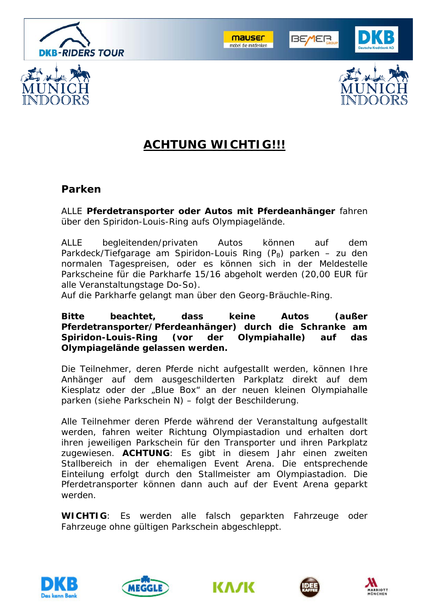



**BE/IER** 





# **ACHTUNG WICHTIG!!!**

### **Parken**

ALLE **Pferdetransporter oder Autos mit Pferdeanhänger** fahren über den Spiridon-Louis-Ring aufs Olympiagelände.

ALLE begleitenden/privaten Autos können auf dem Parkdeck/Tiefgarage am Spiridon-Louis Ring  $(P_B)$  parken – zu den normalen Tagespreisen, oder es können sich in der Meldestelle Parkscheine für die Parkharfe 15/16 abgeholt werden (20,00 EUR für alle Veranstaltungstage Do-So).

Auf die Parkharfe gelangt man über den Georg-Bräuchle-Ring.

**Bitte beachtet, dass keine Autos (außer Pferdetransporter/Pferdeanhänger) durch die Schranke am Spiridon-Louis-Ring (vor der Olympiahalle) auf das Olympiagelände gelassen werden.**

Die Teilnehmer, deren Pferde nicht aufgestallt werden, können Ihre Anhänger auf dem ausgeschilderten Parkplatz direkt auf dem Kiesplatz oder der "Blue Box" an der neuen kleinen Olympiahalle parken (siehe Parkschein N) – folgt der Beschilderung.

Alle Teilnehmer deren Pferde während der Veranstaltung aufgestallt werden, fahren weiter Richtung Olympiastadion und erhalten dort ihren jeweiligen Parkschein für den Transporter und ihren Parkplatz zugewiesen. **ACHTUNG**: Es gibt in diesem Jahr einen zweiten Stallbereich in der ehemaligen Event Arena. Die entsprechende Einteilung erfolgt durch den Stallmeister am Olympiastadion. Die Pferdetransporter können dann auch auf der Event Arena geparkt werden.

**WICHTIG**: Es werden alle falsch geparkten Fahrzeuge oder Fahrzeuge ohne gültigen Parkschein abgeschleppt.